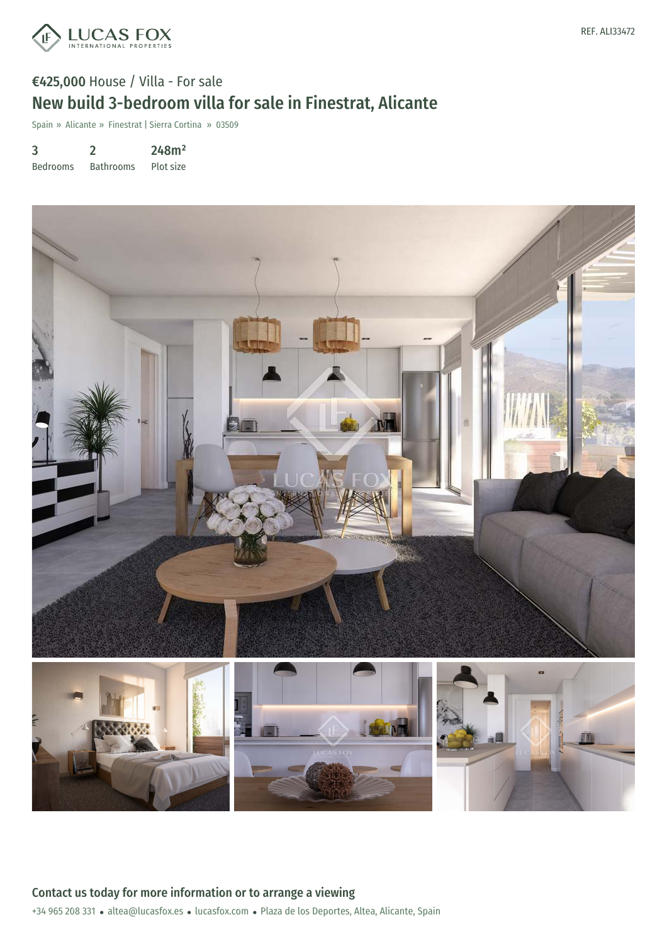

## €425,000 House / Villa - For sale New build 3-bedroom villa for sale in Finestrat, Alicante

Spain » Alicante » Finestrat | Sierra Cortina » 03509

3 Bedrooms 2 Bathrooms 248m² Plot size

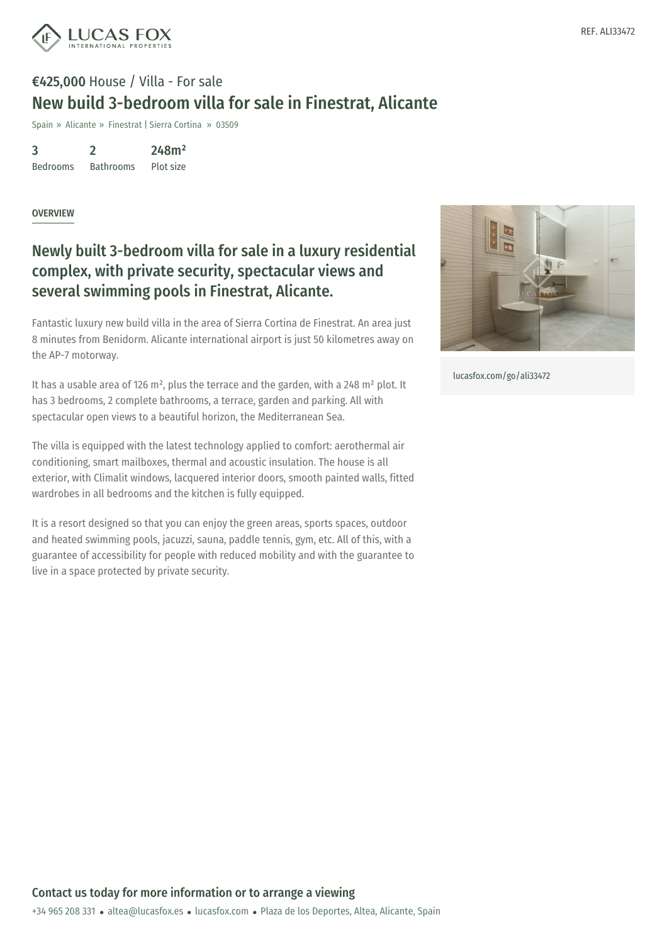

## €425,000 House / Villa - For sale New build 3-bedroom villa for sale in Finestrat, Alicante

Spain » Alicante » Finestrat | Sierra Cortina » 03509

3 Bedrooms 2 Bathrooms 248m² Plot size

OVERVIEW

## Newly built 3-bedroom villa for sale in a luxury residential complex, with private security, spectacular views and several swimming pools in Finestrat, Alicante.

Fantastic luxury new build villa in the area of Sierra Cortina de Finestrat. An area just 8 minutes from Benidorm. Alicante international airport is just 50 kilometres away on the AP-7 motorway.

It has a usable area of 126 m<sup>2</sup>, plus the terrace and the garden, with a 248 m<sup>2</sup> plot. It has 3 bedrooms, 2 complete bathrooms, a terrace, garden and parking. All with spectacular open views to a beautiful horizon, the Mediterranean Sea.

The villa is equipped with the latest technology applied to comfort: aerothermal air conditioning, smart mailboxes, thermal and acoustic insulation. The house is all exterior, with Climalit windows, lacquered interior doors, smooth painted walls, fitted wardrobes in all bedrooms and the kitchen is fully equipped.

It is a resort designed so that you can enjoy the green areas, sports spaces, outdoor and heated swimming pools, jacuzzi, sauna, paddle tennis, gym, etc. All of this, with a guarantee of accessibility for people with reduced mobility and with the guarantee to live in a space protected by private security.



[lucasfox.com/go/ali33472](https://www.lucasfox.com/go/ali33472)